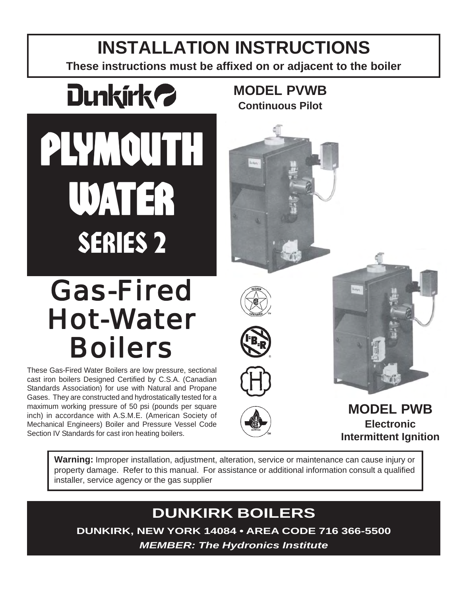# **INSTALLATION INSTRUCTIONS**

**These instructions must be affixed on or adjacent to the boiler**

**MODEL PVWB Continuous Pilot**



PLYMOUTH WATER SERIES 2

# Gas-Fired Hot-Water Boilers

These Gas-Fired Water Boilers are low pressure, sectional cast iron boilers Designed Certified by C.S.A. (Canadian Standards Association) for use with Natural and Propane Gases. They are constructed and hydrostatically tested for a maximum working pressure of 50 psi (pounds per square inch) in accordance with A.S.M.E. (American Society of Mechanical Engineers) Boiler and Pressure Vessel Code Section IV Standards for cast iron heating boilers.





**MODEL PWB Electronic Intermittent Ignition**

**Warning:** Improper installation, adjustment, alteration, service or maintenance can cause injury or property damage. Refer to this manual. For assistance or additional information consult a qualified installer, service agency or the gas supplier

# **DUNKIRK BOILERS**

**DUNKIRK, NEW YORK 14084 • AREA CODE 716 366-5500**

*MEMBER: The Hydronics Institute*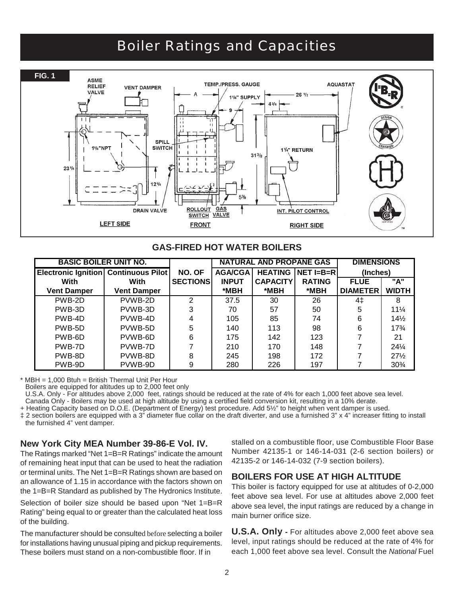# Boiler Ratings and Capacities



#### **GAS-FIRED HOT WATER BOILERS**

| <b>BASIC BOILER UNIT NO.</b>                |                    | <b>NATURAL AND PROPANE GAS</b> | <b>DIMENSIONS</b> |                 |               |                 |                 |
|---------------------------------------------|--------------------|--------------------------------|-------------------|-----------------|---------------|-----------------|-----------------|
| <b>Electronic Ignition Continuous Pilot</b> |                    | NO. OF                         | <b>AGA/CGA</b>    | <b>HEATING</b>  | NET I=B=R     | (Inches)        |                 |
| With                                        | With               | <b>SECTIONS</b>                | <b>INPUT</b>      | <b>CAPACITY</b> | <b>RATING</b> | <b>FLUE</b>     | "A"             |
| <b>Vent Damper</b>                          | <b>Vent Damper</b> |                                | *MBH              | *MBH            | *MBH          | <b>DIAMETER</b> | <b>WIDTH</b>    |
| PWB-2D                                      | PVWB-2D            | $\mathcal{P}$                  | 37.5              | 30              | 26            | 4‡              | 8               |
| PWB-3D                                      | PVWB-3D            | 3                              | 70                | 57              | 50            | 5               | $11\frac{1}{4}$ |
| PWB-4D                                      | PVWB-4D            |                                | 105               | 85              | 74            | 6               | 14%             |
| PWB-5D                                      | PVWB-5D            | 5                              | 140               | 113             | 98            | 6               | $17\frac{3}{4}$ |
| PWB-6D                                      | PVWB-6D            | 6                              | 175               | 142             | 123           |                 | 21              |
| PWB-7D                                      | PVWB-7D            |                                | 210               | 170             | 148           |                 | $24\frac{1}{4}$ |
| PWB-8D                                      | PVWB-8D            |                                | 245               | 198             | 172           |                 | $27\frac{1}{2}$ |
| PWB-9D                                      | PVWB-9D            | 9                              | 280               | 226             | 197           |                 | $30\%$          |

\* MBH = 1,000 Btuh = British Thermal Unit Per Hour

Boilers are equipped for altitudes up to 2,000 feet only

U.S.A. Only - For altitudes above 2,000 feet, ratings should be reduced at the rate of 4% for each 1,000 feet above sea level.

Canada Only - Boilers may be used at high altitude by using a certified field conversion kit, resulting in a 10% derate.

+ Heating Capacity based on D.O.E. (Department of Energy) test procedure. Add 5½" to height when vent damper is used.

‡ 2 section boilers are equipped with a 3" diameter flue collar on the draft diverter, and use a furnished 3" x 4" increaser fitting to install the furnished 4" vent damper.

#### **New York City MEA Number 39-86-E Vol. IV.**

The Ratings marked "Net 1=B=R Ratings" indicate the amount of remaining heat input that can be used to heat the radiation or terminal units. The Net 1=B=R Ratings shown are based on an allowance of 1.15 in accordance with the factors shown on the 1=B=R Standard as published by The Hydronics Institute.

Selection of boiler size should be based upon "Net 1=B=R Rating" being equal to or greater than the calculated heat loss of the building.

The manufacturer should be consulted before selecting a boiler for installations having unusual piping and pickup requirements. These boilers must stand on a non-combustible floor. If in

stalled on a combustible floor, use Combustible Floor Base Number 42135-1 or 146-14-031 (2-6 section boilers) or 42135-2 or 146-14-032 (7-9 section boilers).

#### **BOILERS FOR USE AT HIGH ALTITUDE**

This boiler is factory equipped for use at altitudes of 0-2,000 feet above sea level. For use at altitudes above 2,000 feet above sea level, the input ratings are reduced by a change in main burner orifice size.

**U.S.A. Only -** For altitudes above 2,000 feet above sea level, input ratings should be reduced at the rate of 4% for each 1,000 feet above sea level. Consult the *National* Fuel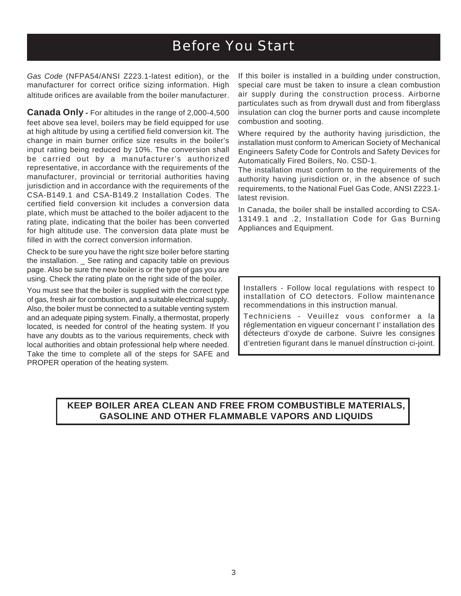# Before You Start

*Gas Code* (NFPA54/ANSI Z223.1-latest edition), or the manufacturer for correct orifice sizing information. High altitude orifices are available from the boiler manufacturer.

**Canada Only - For altitudes in the range of 2,000-4,500** feet above sea level, boilers may be field equipped for use at high altitude by using a certified field conversion kit. The change in main burner orifice size results in the boiler's input rating being reduced by 10%. The conversion shall be carried out by a manufacturer's authorized representative, in accordance with the requirements of the manufacturer, provincial or territorial authorities having jurisdiction and in accordance with the requirements of the CSA-B149.1 and CSA-B149.2 Installation Codes. The certified field conversion kit includes a conversion data plate, which must be attached to the boiler adjacent to the rating plate, indicating that the boiler has been converted for high altitude use. The conversion data plate must be filled in with the correct conversion information.

Check to be sure you have the right size boiler before starting the installation. \_ See rating and capacity table on previous page. Also be sure the new boiler is or the type of gas you are using. Check the rating plate on the right side of the boiler.

You must see that the boiler is supplied with the correct type of gas, fresh air for combustion, and a suitable electrical supply. Also, the boiler must be connected to a suitable venting system and an adequate piping system. Finally, a thermostat, properly located, is needed for control of the heating system. If you have any doubts as to the various requirements, check with local authorities and obtain professional help where needed. Take the time to complete all of the steps for SAFE and PROPER operation of the heating system.

If this boiler is installed in a building under construction, special care must be taken to insure a clean combustion air supply during the construction process. Airborne particulates such as from drywall dust and from fiberglass insulation can clog the burner ports and cause incomplete combustion and sooting.

Where required by the authority having jurisdiction, the installation must conform to American Society of Mechanical Engineers Safety Code for Controls and Safety Devices for Automatically Fired Boilers, No. CSD-1.

The installation must conform to the requirements of the authority having jurisdiction or, in the absence of such requirements, to the National Fuel Gas Code, ANSI Z223.1 latest revision.

In Canada, the boiler shall be installed according to CSA-13149.1 and .2, Installation Code for Gas Burning Appliances and Equipment.

Installers - Follow local regulations with respect to installation of CO detectors. Follow maintenance recommendations in this instruction manual.

Techniciens - Veuillez vous conformer a la réglementation en vigueur concernant I' installation des détecteurs d'oxyde de carbone. Suivre les consignes d'entretien figurant dans le manuel dínstruction ci-joint.

### **KEEP BOILER AREA CLEAN AND FREE FROM COMBUSTIBLE MATERIALS, GASOLINE AND OTHER FLAMMABLE VAPORS AND LIQUIDS**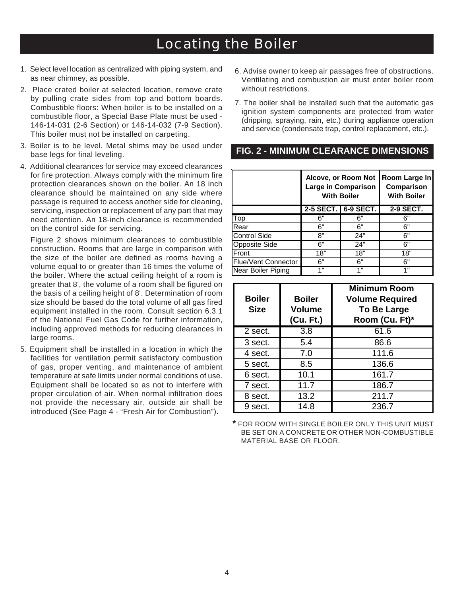# Locating the Boiler

- 1. Select level location as centralized with piping system, and as near chimney, as possible.
- 2. Place crated boiler at selected location, remove crate by pulling crate sides from top and bottom boards. Combustible floors: When boiler is to be installed on a combustible floor, a Special Base Plate must be used - 146-14-031 (2-6 Section) or 146-14-032 (7-9 Section). This boiler must not be installed on carpeting.
- 3. Boiler is to be level. Metal shims may be used under base legs for final leveling.
- 4. Additional clearances for service may exceed clearances for fire protection. Always comply with the minimum fire protection clearances shown on the boiler. An 18 inch clearance should be maintained on any side where passage is required to access another side for cleaning, servicing, inspection or replacement of any part that may need attention. An 18-inch clearance is recommended on the control side for servicing.

Figure 2 shows minimum clearances to combustible construction. Rooms that are large in comparison with the size of the boiler are defined as rooms having a volume equal to or greater than 16 times the volume of the boiler. Where the actual ceiling height of a room is greater that 8', the volume of a room shall be figured on the basis of a ceiling height of 8'. Determination of room size should be based do the total volume of all gas fired equipment installed in the room. Consult section 6.3.1 of the National Fuel Gas Code for further information, including approved methods for reducing clearances in large rooms.

5. Equipment shall be installed in a location in which the facilities for ventilation permit satisfactory combustion of gas, proper venting, and maintenance of ambient temperature at safe limits under normal conditions of use. Equipment shall be located so as not to interfere with proper circulation of air. When normal infiltration does not provide the necessary air, outside air shall be introduced (See Page 4 - "Fresh Air for Combustion").

- 6. Advise owner to keep air passages free of obstructions. Ventilating and combustion air must enter boiler room without restrictions.
- 7. The boiler shall be installed such that the automatic gas ignition system components are protected from water (dripping, spraying, rain, etc.) during appliance operation and service (condensate trap, control replacement, etc.).

#### **FIG. 2 - MINIMUM CLEARANCE DIMENSIONS**

|                            |                     | Alcove, or Room Not<br>Large in Comparison<br><b>With Boiler</b> | Room Large In<br>Comparison<br><b>With Boiler</b> |  |  |
|----------------------------|---------------------|------------------------------------------------------------------|---------------------------------------------------|--|--|
|                            | 2-5 SECT. 6-9 SECT. | 2-9 SECT.                                                        |                                                   |  |  |
| Top                        | 6"                  | ճ"                                                               | 6"                                                |  |  |
| Rear                       | 6"                  | հ"                                                               | 6"                                                |  |  |
| <b>Control Side</b>        | 8"                  | 24"                                                              | 6"                                                |  |  |
| <b>Opposite Side</b>       | 6"                  | 24"                                                              | 6"                                                |  |  |
| Front                      | 18"                 | 18"                                                              | 18"                                               |  |  |
| <b>Flue/Vent Connector</b> | 6"                  | 6"                                                               | 6"                                                |  |  |
| Near Boiler Piping         | 4 "                 | 1"                                                               | 1 "                                               |  |  |

| <b>Boiler</b><br><b>Size</b> | <b>Boiler</b><br><b>Volume</b><br>(Cu. Ft.) | <b>Minimum Room</b><br><b>Volume Required</b><br><b>To Be Large</b><br>Room (Cu. Ft)* |
|------------------------------|---------------------------------------------|---------------------------------------------------------------------------------------|
| 2 sect.                      | $\overline{3.8}$                            | 61.6                                                                                  |
| 3 sect.                      | 5.4                                         | 86.6                                                                                  |
| 4 sect.                      | 7.0                                         | 111.6                                                                                 |
| 5 sect.                      | 8.5                                         | 136.6                                                                                 |
| 6 sect.                      | 10.1                                        | 161.7                                                                                 |
| 7 sect.                      | 11.7                                        | 186.7                                                                                 |
| 8 sect.                      | 13.2                                        | 211.7                                                                                 |
| 9 sect.                      | 14.8                                        | 236.7                                                                                 |

**\*** FOR ROOM WITH SINGLE BOILER ONLY THIS UNIT MUST BE SET ON A CONCRETE OR OTHER NON-COMBUSTIBLE MATERIAL BASE OR FLOOR.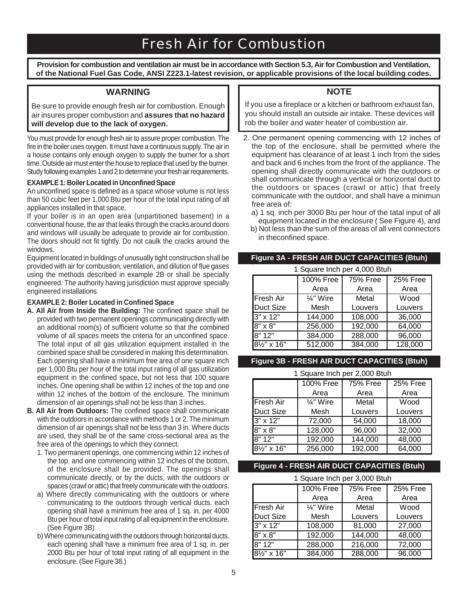# Fresh Air for Combustion

**Provision for combustion and ventilation air must be in accordance with Section 5.3, Air for Combustion and Ventilation, of the National Fuel Gas Code, ANSI Z223.1-latest revision, or applicable provisions of the local building codes.**

#### **WARNING**

Be sure to provide enough fresh air for combustion. Enough air insures proper combustion and **assures that no hazard will develop due to the lack of oxygen.**

You must provide for enough fresh air to assure proper combustion. The fire in the boiler uses oxygen. It must have a continuous supply. The air in a house contains only enough oxygen to supply the burner for a short time. Outside air must enter the house to replace that used by the burner. Study following examples 1 and 2 to determine your fresh air requirements.

#### **EXAMPLE 1: Boiler Located in Unconfined Space**

An unconfined space is defined as a space whose volume is not less than 50 cubic feet per 1,000 Btu per hour of the total input rating of all appliances installed in that space.

If your boiler is in an open area (unpartitioned basement) in a conventional house, the air that leaks through the cracks around doors and windows will usually be adequate to provide air for combustion. The doors should not fit tightly. Do not caulk the cracks around the windows.

Equipment located in buildings of unusually tight construction shall be provided with air for combustion, ventilation, and dilution of flue gases using the methods described in example 2B or shall be specially engineered. The authority having jurisdiction must approve specially engineered installations.

#### **EXAMPLE 2: Boiler Located in Confined Space**

- **A. All Air from Inside the Building:** The confined space shall be provided with two permanent openings communicating directly with an additional room(s) of sufficient volume so that the combined volume of all spaces meets the criteria for an unconfined space. The total input of all gas utilization equipment installed in the combined space shall be considered in making this determination. Each opening shall have a minimum free area of one square inch per 1,000 Btu per hour of the total input rating of all gas utilization equipment in the confined space, but not less that 100 square inches. One opening shall be within 12 inches of the top and one within 12 inches of the bottom of the enclosure. The minimum dimension of air openings shall not be less than 3 inches.
- **B. All Air from Outdoors:** The confined space shall communicate with the outdoors in accordance with methods 1 or 2. The minimum dimension of air openings shall not be less than 3 in. Where ducts are used, they shall be of the same cross-sectional area as the free area of the openings to which they connect.
	- 1. Two permanent openings, one commencing within 12 inches of the top. and one commencing within 12 inches of the bottom, of the enclosure shall be provided. The openings shall communicate directly, or by the ducts, with the outdoors or spaces (crawl or attic) that freely communicate with the outdoors.
	- a) Where directly communicating with the outdoors or where communicating to the outdoors through vertical ducts. each opening shall have a minimum free area of 1 sq. in. per 4000 Btu per hour of total input rating of all equipment in the enclosure. (See Figure 3B)
	- b) Where communicating with the outdoors through horizontal ducts. each opening shall have a minimum free area of 1 sq. in. per 2000 Btu per hour of total input rating of all equipment in the enclosure. (See Figure 38.)

#### **NOTE**

If you use a fireplace or a kitchen or bathroom exhaust fan, you should install an outside air intake. These devices will rob the boiler and water heater of combustion air.

- 2. One permanent opening commencing with 12 inches of the top of the enclosure, shall be permitted where the equipment has clearance of at least 1 inch from the sides and back and 6 inches from the front of the appliance. The opening shall directly communicate with the outdoors or shall communicate through a vertical or horizontal duct to the outdoors or spaces (crawl or attic) that freely communicate with the outdoor, and shall have a minimun free area of:
	- a) 1 sq. inch per 3000 Btu per hour of the tatal input of all equipment located in the enclosure ( See Figure 4), and
	- b) Not less than the sum of the areas of all vent connectors in theconfined space.

#### **Figure 3A - FRESH AIR DUCT CAPACITIES (Btuh)**

| 1 Square Inch per 4,000 Btuh |                      |          |          |  |  |  |
|------------------------------|----------------------|----------|----------|--|--|--|
|                              | <b>100% Free</b>     | 75% Free | 25% Free |  |  |  |
|                              | Area                 | Area     | Area     |  |  |  |
| <b>Fresh Air</b>             | $\frac{1}{4}$ " Wire | Metal    | Wood     |  |  |  |
| <b>Duct Size</b>             | Mesh                 | Louvers  | Louvers  |  |  |  |
| $3'' \times 12''$            | 144,000              | 108,000  | 36,000   |  |  |  |
| $8" \times 8"$               | 256,000              | 192,000  | 64,000   |  |  |  |
| 8"12"                        | 384,000              | 288,000  | 96,000   |  |  |  |
| $8\frac{1}{2}$ " x 16"       | 512,000              | 384,000  | 128,000  |  |  |  |

#### **Figure 3B - FRESH AIR DUCT CAPACITIES (Btuh)**

#### 1 Square Inch per 2,000 Btuh

| <b>1 OGUATE THEIT DET 2,000 DIGIT</b> |                      |                 |          |  |  |
|---------------------------------------|----------------------|-----------------|----------|--|--|
|                                       | 100% Free            | <b>75% Free</b> | 25% Free |  |  |
|                                       | Area                 | Area            | Area     |  |  |
| Fresh Air                             | $\frac{1}{4}$ " Wire | Metal           | Wood     |  |  |
| <b>Duct Size</b>                      | Mesh                 | Louvers         | Louvers  |  |  |
| $3" \times 12"$                       | 72,000               | 54,000          | 18,000   |  |  |
| $8" \times 8"$                        | 128,000              | 96,000          | 32,000   |  |  |
| 8" 12"                                | 192,000              | 144,000         | 48,000   |  |  |
| $8\frac{1}{2}$ " x 16"                | 256,000              | 192,000         | 64,000   |  |  |

#### **Figure 4 - FRESH AIR DUCT CAPACITIES (Btuh)**

1 Square Inch per 3,000 Btuh

|                          | 100% Free            | <b>75% Free</b> | 25% Free |  |  |  |
|--------------------------|----------------------|-----------------|----------|--|--|--|
|                          | Area                 | Area            | Area     |  |  |  |
| Fresh Air                | $\frac{1}{4}$ " Wire | Metal           | Wood     |  |  |  |
| <b>Duct Size</b>         | Mesh                 | Louvers         | Louvers  |  |  |  |
| $3" \times 12"$          | 108,000              | 81,000          | 27,000   |  |  |  |
| 8" x 8"                  | 192,000              | 144,000         | 48,000   |  |  |  |
| 8"12"                    | 288,000              | 216,000         | 72,000   |  |  |  |
| 81/ <sub>2</sub> " x 16" | 384,000              | 288,000         | 96,000   |  |  |  |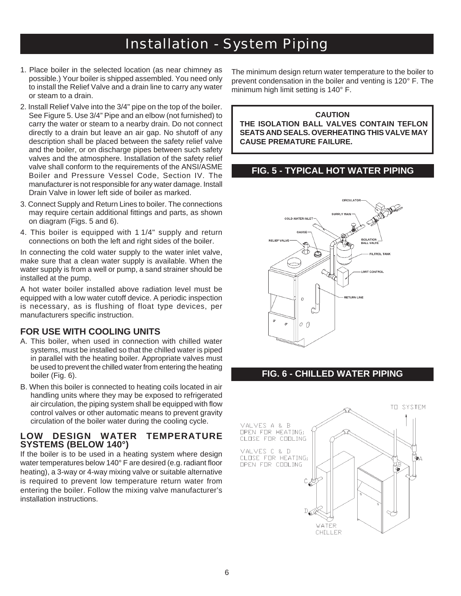# Installation - System Piping

- 1. Place boiler in the selected location (as near chimney as possible.) Your boiler is shipped assembled. You need only to install the Relief Valve and a drain line to carry any water or steam to a drain.
- 2. Install Relief Valve into the 3/4" pipe on the top of the boiler. See Figure 5. Use 3/4" Pipe and an elbow (not furnished) to carry the water or steam to a nearby drain. Do not connect directly to a drain but leave an air gap. No shutoff of any description shall be placed between the safety relief valve and the boiler, or on discharge pipes between such safety valves and the atmosphere. Installation of the safety relief valve shall conform to the requirements of the ANSI/ASME Boiler and Pressure Vessel Code, Section IV. The manufacturer is not responsible for any water damage. Install Drain Valve in lower left side of boiler as marked.
- 3. Connect Supply and Return Lines to boiler. The connections may require certain additional fittings and parts, as shown on diagram (Figs. 5 and 6).
- 4. This boiler is equipped with 1 1/4" supply and return connections on both the left and right sides of the boiler.

In connecting the cold water supply to the water inlet valve, make sure that a clean water supply is available. When the water supply is from a well or pump, a sand strainer should be installed at the pump.

A hot water boiler installed above radiation level must be equipped with a low water cutoff device. A periodic inspection is necessary, as is flushing of float type devices, per manufacturers specific instruction.

#### **FOR USE WITH COOLING UNITS**

- A. This boiler, when used in connection with chilled water systems, must be installed so that the chilled water is piped in parallel with the heating boiler. Appropriate valves must be used to prevent the chilled water from entering the heating boiler (Fig. 6).
- B. When this boiler is connected to heating coils located in air handling units where they may be exposed to refrigerated air circulation, the piping system shall be equipped with flow control valves or other automatic means to prevent gravity circulation of the boiler water during the cooling cycle.

#### **LOW DESIGN WATER TEMPERATURE SYSTEMS (BELOW 140°)**

If the boiler is to be used in a heating system where design water temperatures below 140° F are desired (e.g. radiant floor heating), a 3-way or 4-way mixing valve or suitable alternative is required to prevent low temperature return water from entering the boiler. Follow the mixing valve manufacturer's installation instructions.

The minimum design return water temperature to the boiler to prevent condensation in the boiler and venting is 120° F. The minimum high limit setting is 140° F.

#### **CAUTION THE ISOLATION BALL VALVES CONTAIN TEFLON SEATS AND SEALS. OVERHEATING THIS VALVE MAY CAUSE PREMATURE FAILURE.**

#### **FIG. 5 - TYPICAL HOT WATER PIPING**



### **FIG. 6 - CHILLED WATER PIPING**

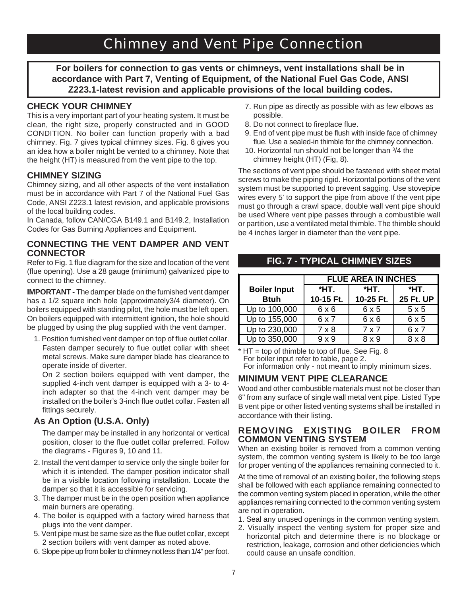# Chimney and Vent Pipe Connection

**For boilers for connection to gas vents or chimneys, vent installations shall be in accordance with Part 7, Venting of Equipment, of the National Fuel Gas Code, ANSI Z223.1-latest revision and applicable provisions of the local building codes.**

#### **CHECK YOUR CHIMNEY**

This is a very important part of your heating system. It must be clean, the right size, properly constructed and in GOOD CONDITION. No boiler can function properly with a bad chimney. Fig. 7 gives typical chimney sizes. Fig. 8 gives you an idea how a boiler might be vented to a chimney. Note that the height (HT) is measured from the vent pipe to the top.

#### **CHIMNEY SIZING**

Chimney sizing, and all other aspects of the vent installation must be in accordance with Part 7 of the National Fuel Gas Code, ANSI Z223.1 latest revision, and applicable provisions of the local building codes.

In Canada, follow CAN/CGA B149.1 and B149.2, Installation Codes for Gas Burning Appliances and Equipment.

#### **CONNECTING THE VENT DAMPER AND VENT CONNECTOR**

Refer to Fig. 1 flue diagram for the size and location of the vent (flue opening). Use a 28 gauge (minimum) galvanized pipe to connect to the chimney.

**IMPORTANT -** The damper blade on the furnished vent damper has a 1/2 square inch hole (approximately3/4 diameter). On boilers equipped with standing pilot, the hole must be left open. On boilers equipped with intermittent ignition, the hole should be plugged by using the plug supplied with the vent damper.

1. Position furnished vent damper on top of flue outlet collar. Fasten damper securely to flue outlet collar with sheet metal screws. Make sure damper blade has clearance to operate inside of diverter.

On 2 section boilers equipped with vent damper, the supplied 4-inch vent damper is equipped with a 3- to 4 inch adapter so that the 4-inch vent damper may be installed on the boiler's 3-inch flue outlet collar. Fasten all fittings securely.

#### **As An Option (U.S.A. Only)**

The damper may be installed in any horizontal or vertical position, closer to the flue outlet collar preferred. Follow the diagrams - Figures 9, 10 and 11.

- 2. Install the vent damper to service only the single boiler for which it is intended. The damper position indicator shall be in a visible location following installation. Locate the damper so that it is accessible for servicing.
- 3. The damper must be in the open position when appliance main burners are operating.
- 4. The boiler is equipped with a factory wired harness that plugs into the vent damper.
- 5. Vent pipe must be same size as the flue outlet collar, except 2 section boilers with vent damper as noted above.
- 6. Slope pipe up from boiler to chimney not less than 1/4" per foot.
- 7. Run pipe as directly as possible with as few elbows as possible.
- 8. Do not connect to fireplace flue.
- 9. End of vent pipe must be flush with inside face of chimney flue. Use a sealed-in thimble for the chimney connection.
- 10. Horizontal run should not be longer than 3 /4 the chimney height (HT) (Fig, 8).

The sections of vent pipe should be fastened with sheet metal screws to make the piping rigid. Horizontal portions of the vent system must be supported to prevent sagging. Use stovepipe wires every 5' to support the pipe from above If the vent pipe must go through a crawl space, double wall vent pipe should be used Where vent pipe passes through a combustible wall or partition, use a ventilated metal thimble. The thimble should be 4 inches larger in diameter than the vent pipe.

|                     | <b>FLUE AREA IN INCHES</b> |            |           |  |  |  |  |
|---------------------|----------------------------|------------|-----------|--|--|--|--|
| <b>Boiler Input</b> | *HT.                       | *HT.       | *HT.      |  |  |  |  |
| <b>Btuh</b>         | 10-15 Ft.                  | 10-25 Ft.  | 25 Ft. UP |  |  |  |  |
| Up to 100,000       | 6x6                        | 6x5        | 5x5       |  |  |  |  |
| Up to 155,000       | 6x7                        | 6x6        | 6 x 5     |  |  |  |  |
| Up to 230,000       | $7 \times 8$               | $7\times7$ | 6 x 7     |  |  |  |  |
| Up to 350,000       | $9 \times 9$               | 8 x 9      | 8 x 8     |  |  |  |  |

 $*$  HT = top of thimble to top of flue. See Fig. 8

For boiler input refer to table, page 2.

For information only - not meant to imply minimum sizes.

#### **MINIMUM VENT PIPE CLEARANCE**

Wood and other combustible materials must not be closer than 6" from any surface of single wall metal vent pipe. Listed Type B vent pipe or other listed venting systems shall be installed in accordance with their listing.

#### **REMOVING EXISTING BOILER FROM COMMON VENTING SYSTEM**

When an existing boiler is removed from a common venting system, the common venting system is likely to be too large for proper venting of the appliances remaining connected to it.

At the time of removal of an existing boiler, the following steps shall be followed with each appliance remaining connected to the common venting system placed in operation, while the other appliances remaining connected to the common venting system are not in operation.

- 1. Seal any unused openings in the common venting system.
- 2. Visually inspect the venting system for proper size and horizontal pitch and determine there is no blockage or restriction, leakage, corrosion and other deficiencies which could cause an unsafe condition.

### **FIG. 7 - TYPICAL CHIMNEY SIZES**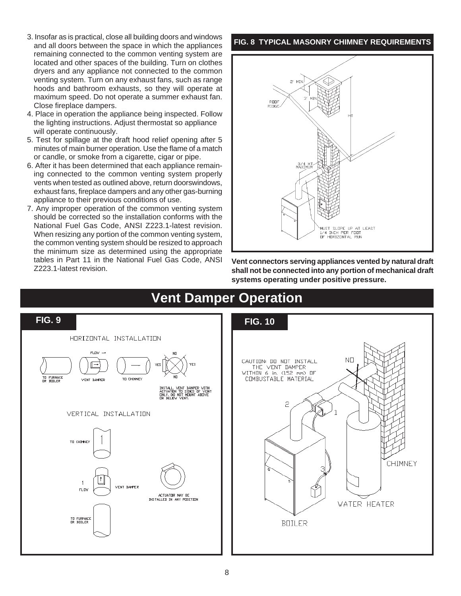- 3. Insofar as is practical, close all building doors and windows and all doors between the space in which the appliances remaining connected to the common venting system are located and other spaces of the building. Turn on clothes dryers and any appliance not connected to the common venting system. Turn on any exhaust fans, such as range hoods and bathroom exhausts, so they will operate at maximum speed. Do not operate a summer exhaust fan. Close fireplace dampers.
- 4. Place in operation the appliance being inspected. Follow the lighting instructions. Adjust thermostat so appliance will operate continuously.
- 5. Test for spillage at the draft hood relief opening after 5 minutes of main burner operation. Use the flame of a match or candle, or smoke from a cigarette, cigar or pipe.
- 6. After it has been determined that each appliance remaining connected to the common venting system properly vents when tested as outlined above, return doorswindows, exhaust fans, fireplace dampers and any other gas-burning appliance to their previous conditions of use.
- 7. Any improper operation of the common venting system should be corrected so the installation conforms with the National Fuel Gas Code, ANSI Z223.1-latest revision. When resizing any portion of the common venting system, the common venting system should be resized to approach the minimum size as determined using the appropriate tables in Part 11 in the National Fuel Gas Code, ANSI Z223.1-latest revision.

#### **FIG. 8 TYPICAL MASONRY CHIMNEY REQUIREMENTS**





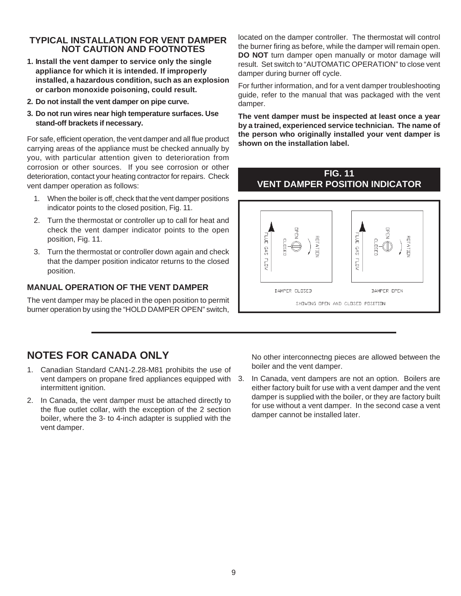#### **TYPICAL INSTALLATION FOR VENT DAMPER NOT CAUTION AND FOOTNOTES**

- **1. Install the vent damper to service only the single appliance for which it is intended. If improperly installed, a hazardous condition, such as an explosion or carbon monoxide poisoning, could result.**
- **2. Do not install the vent damper on pipe curve.**
- **3. Do not run wires near high temperature surfaces. Use stand-off brackets if necessary.**

For safe, efficient operation, the vent damper and all flue product carrying areas of the appliance must be checked annually by you, with particular attention given to deterioration from corrosion or other sources. If you see corrosion or other deterioration, contact your heating contractor for repairs. Check vent damper operation as follows:

- 1. When the boiler is off, check that the vent damper positions indicator points to the closed position, Fig. 11.
- 2. Turn the thermostat or controller up to call for heat and check the vent damper indicator points to the open position, Fig. 11.
- 3. Turn the thermostat or controller down again and check that the damper position indicator returns to the closed position.

#### **MANUAL OPERATION OF THE VENT DAMPER**

The vent damper may be placed in the open position to permit burner operation by using the "HOLD DAMPER OPEN" switch,

located on the damper controller. The thermostat will control the burner firing as before, while the damper will remain open. **DO NOT** turn damper open manually or motor damage will result. Set switch to "AUTOMATIC OPERATION" to close vent damper during burner off cycle.

For further information, and for a vent damper troubleshooting guide, refer to the manual that was packaged with the vent damper.

**The vent damper must be inspected at least once a year by a trained, experienced service technician. The name of the person who originally installed your vent damper is shown on the installation label.**

#### **FIG. 11 VENT DAMPER POSITION INDICATOR**



# **NOTES FOR CANADA ONLY**

- 1. Canadian Standard CAN1-2.28-M81 prohibits the use of vent dampers on propane fired appliances equipped with intermittent ignition.
- 2. In Canada, the vent damper must be attached directly to the flue outlet collar, with the exception of the 2 section boiler, where the 3- to 4-inch adapter is supplied with the vent damper.

No other interconnectng pieces are allowed between the boiler and the vent damper.

3. In Canada, vent dampers are not an option. Boilers are either factory built for use with a vent damper and the vent damper is supplied with the boiler, or they are factory built for use without a vent damper. In the second case a vent damper cannot be installed later.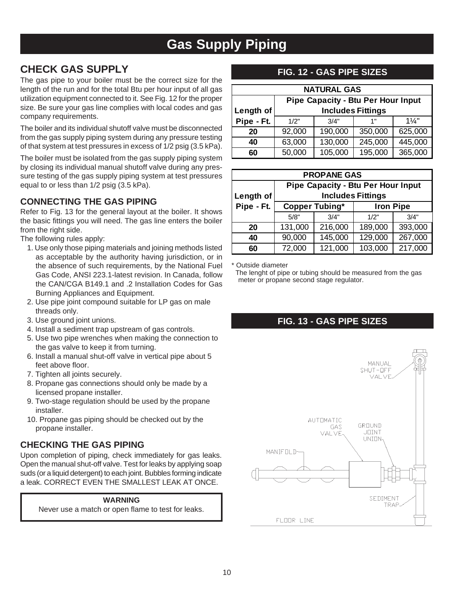# **Gas Supply Piping**

# **CHECK GAS SUPPLY**

The gas pipe to your boiler must be the correct size for the length of the run and for the total Btu per hour input of all gas utilization equipment connected to it. See Fig. 12 for the proper size. Be sure your gas line complies with local codes and gas company requirements.

The boiler and its individual shutoff valve must be disconnected from the gas supply piping system during any pressure testing of that system at test pressures in excess of 1/2 psig (3.5 kPa).

The boiler must be isolated from the gas supply piping system by closing its individual manual shutoff valve during any pressure testing of the gas supply piping system at test pressures equal to or less than 1/2 psig (3.5 kPa).

### **CONNECTING THE GAS PIPING**

Refer to Fig. 13 for the general layout at the boiler. It shows the basic fittings you will need. The gas line enters the boiler from the right side.

The following rules apply:

- 1. Use only those piping materials and joining methods listed as acceptable by the authority having jurisdiction, or in the absence of such requirements, by the National Fuel Gas Code, ANSI 223.1-latest revision. In Canada, follow the CAN/CGA B149.1 and .2 Installation Codes for Gas Burning Appliances and Equipment.
- 2. Use pipe joint compound suitable for LP gas on male threads only.
- 3. Use ground joint unions.
- 4. Install a sediment trap upstream of gas controls.
- 5. Use two pipe wrenches when making the connection to the gas valve to keep it from turning.
- 6. Install a manual shut-off valve in vertical pipe about 5 feet above floor.
- 7. Tighten all joints securely.
- 8. Propane gas connections should only be made by a licensed propane installer.
- 9. Two-stage regulation should be used by the propane installer.
- 10. Propane gas piping should be checked out by the propane installer.

### **CHECKING THE GAS PIPING**

Upon completion of piping, check immediately for gas leaks. Open the manual shut-off valve. Test for leaks by applying soap suds (or a liquid detergent) to each joint. Bubbles forming indicate a leak. CORRECT EVEN THE SMALLEST LEAK AT ONCE.

#### **WARNING**

Never use a match or open flame to test for leaks.

### **FIG. 12 - GAS PIPE SIZES**

| <b>NATURAL GAS</b>                        |        |                          |         |                |  |  |  |
|-------------------------------------------|--------|--------------------------|---------|----------------|--|--|--|
| <b>Pipe Capacity - Btu Per Hour Input</b> |        |                          |         |                |  |  |  |
| Length of                                 |        | <b>Includes Fittings</b> |         |                |  |  |  |
| Pipe - Ft.                                | 1/2"   | 3/4"                     | 1"      | $1\frac{1}{4}$ |  |  |  |
| 20                                        | 92,000 | 190,000                  | 350,000 | 625,000        |  |  |  |
| 40                                        | 63,000 | 130,000                  | 245,000 | 445,000        |  |  |  |
| 60                                        | 50,000 | 105,000                  | 195,000 | 365,000        |  |  |  |

| <b>PROPANE GAS</b>                    |         |                                           |                  |         |  |  |  |
|---------------------------------------|---------|-------------------------------------------|------------------|---------|--|--|--|
|                                       |         | <b>Pipe Capacity - Btu Per Hour Input</b> |                  |         |  |  |  |
| <b>Includes Fittings</b><br>Length of |         |                                           |                  |         |  |  |  |
| Pipe - Ft.                            |         | <b>Copper Tubing*</b>                     | <b>Iron Pipe</b> |         |  |  |  |
|                                       | 5/8"    | 3/4"                                      | 1/2"             | 3/4"    |  |  |  |
| 20                                    | 131,000 | 216,000                                   | 189,000          | 393,000 |  |  |  |
| 40                                    | 90,000  | 145,000                                   | 129,000          | 267,000 |  |  |  |
| 60                                    | 72,000  | 121,000                                   | 103,000          | 217,000 |  |  |  |

\* Outside diameter

 The lenght of pipe or tubing should be measured from the gas meter or propane second stage regulator.

# **FIG. 13 - GAS PIPE SIZES**

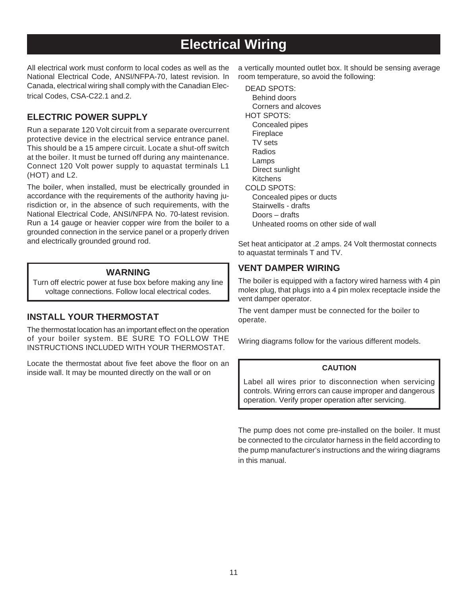# **Electrical Wiring**

All electrical work must conform to local codes as well as the National Electrical Code, ANSI/NFPA-70, latest revision. In Canada, electrical wiring shall comply with the Canadian Electrical Codes, CSA-C22.1 and.2.

### **ELECTRIC POWER SUPPLY**

Run a separate 120 Volt circuit from a separate overcurrent protective device in the electrical service entrance panel. This should be a 15 ampere circuit. Locate a shut-off switch at the boiler. It must be turned off during any maintenance. Connect 120 Volt power supply to aquastat terminals L1 (HOT) and L2.

The boiler, when installed, must be electrically grounded in accordance with the requirements of the authority having jurisdiction or, in the absence of such requirements, with the National Electrical Code, ANSI/NFPA No. 70-latest revision. Run a 14 gauge or heavier copper wire from the boiler to a grounded connection in the service panel or a properly driven and electrically grounded ground rod.

#### **WARNING**

Turn off electric power at fuse box before making any line voltage connections. Follow local electrical codes.

#### **INSTALL YOUR THERMOSTAT**

The thermostat location has an important effect on the operation of your boiler system. BE SURE TO FOLLOW THE INSTRUCTIONS INCLUDED WITH YOUR THERMOSTAT.

Locate the thermostat about five feet above the floor on an inside wall. It may be mounted directly on the wall or on

a vertically mounted outlet box. It should be sensing average room temperature, so avoid the following:

DEAD SPOTS: Behind doors Corners and alcoves HOT SPOTS: Concealed pipes Fireplace TV sets Radios Lamps Direct sunlight Kitchens COLD SPOTS: Concealed pipes or ducts Stairwells - drafts Doors – drafts Unheated rooms on other side of wall

Set heat anticipator at .2 amps. 24 Volt thermostat connects to aquastat terminals T and TV.

#### **VENT DAMPER WIRING**

The boiler is equipped with a factory wired harness with 4 pin molex plug, that plugs into a 4 pin molex receptacle inside the vent damper operator.

The vent damper must be connected for the boiler to operate.

Wiring diagrams follow for the various different models.

#### **CAUTION**

Label all wires prior to disconnection when servicing controls. Wiring errors can cause improper and dangerous operation. Verify proper operation after servicing.

The pump does not come pre-installed on the boiler. It must be connected to the circulator harness in the field according to the pump manufacturer's instructions and the wiring diagrams in this manual.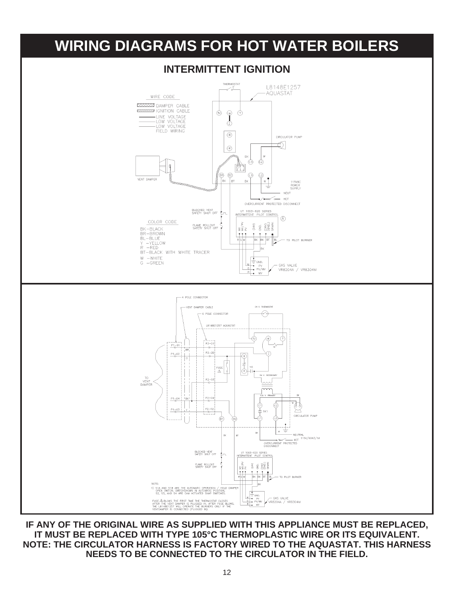

**IF ANY OF THE ORIGINAL WIRE AS SUPPLIED WITH THIS APPLIANCE MUST BE REPLACED, IT MUST BE REPLACED WITH TYPE 105°C THERMOPLASTIC WIRE OR ITS EQUIVALENT. NOTE: THE CIRCULATOR HARNESS IS FACTORY WIRED TO THE AQUASTAT. THIS HARNESS NEEDS TO BE CONNECTED TO THE CIRCULATOR IN THE FIELD.**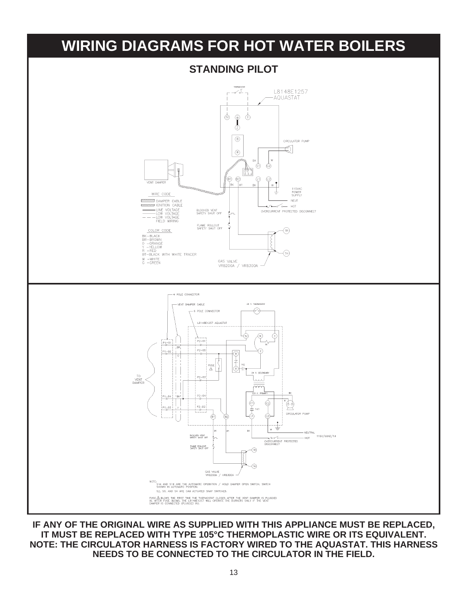

**IF ANY OF THE ORIGINAL WIRE AS SUPPLIED WITH THIS APPLIANCE MUST BE REPLACED, IT MUST BE REPLACED WITH TYPE 105°C THERMOPLASTIC WIRE OR ITS EQUIVALENT. NOTE: THE CIRCULATOR HARNESS IS FACTORY WIRED TO THE AQUASTAT. THIS HARNESS NEEDS TO BE CONNECTED TO THE CIRCULATOR IN THE FIELD.**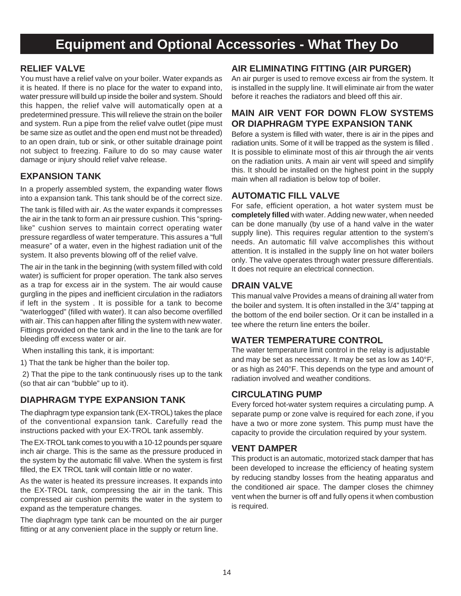# **Equipment and Optional Accessories - What They Do**

#### **RELIEF VALVE**

You must have a relief valve on your boiler. Water expands as it is heated. If there is no place for the water to expand into, water pressure will build up inside the boiler and system. Should this happen, the relief valve will automatically open at a predetermined pressure. This will relieve the strain on the boiler and system. Run a pipe from the relief valve outlet (pipe must be same size as outlet and the open end must not be threaded) to an open drain, tub or sink, or other suitable drainage point not subject to freezing. Failure to do so may cause water damage or injury should relief valve release.

#### **EXPANSION TANK**

In a properly assembled system, the expanding water flows into a expansion tank. This tank should be of the correct size.

The tank is filled with air. As the water expands it compresses the air in the tank to form an air pressure cushion. This "springlike" cushion serves to maintain correct operating water pressure regardless of water temperature. This assures a "full measure" of a water, even in the highest radiation unit of the system. It also prevents blowing off of the relief valve.

The air in the tank in the beginning (with system filled with cold water) is sufficient for proper operation. The tank also serves as a trap for excess air in the system. The air would cause gurgling in the pipes and inefficient circulation in the radiators if left in the system . It is possible for a tank to become "waterlogged" (filled with water). It can also become overfilled with air. This can happen after filling the system with new water. Fittings provided on the tank and in the line to the tank are for bleeding off excess water or air.

When installing this tank, it is important:

1) That the tank be higher than the boiler top.

 2) That the pipe to the tank continuously rises up to the tank (so that air can "bubble" up to it).

### **DIAPHRAGM TYPE EXPANSION TANK**

The diaphragm type expansion tank (EX-TROL) takes the place of the conventional expansion tank. Carefully read the instructions packed with your EX-TROL tank assembly.

The EX-TROL tank comes to you with a 10-12 pounds per square inch air charge. This is the same as the pressure produced in the system by the automatic fill valve. When the system is first filled, the EX TROL tank will contain little or no water.

As the water is heated its pressure increases. It expands into the EX-TROL tank, compressing the air in the tank. This compressed air cushion permits the water in the system to expand as the temperature changes.

The diaphragm type tank can be mounted on the air purger fitting or at any convenient place in the supply or return line.

#### **AIR ELIMINATING FITTING (AIR PURGER)**

An air purger is used to remove excess air from the system. It is installed in the supply line. It will eliminate air from the water before it reaches the radiators and bleed off this air.

### **MAIN AIR VENT FOR DOWN FLOW SYSTEMS OR DIAPHRAGM TYPE EXPANSION TANK**

Before a system is filled with water, there is air in the pipes and radiation units. Some of it will be trapped as the system is filled . It is possible to eliminate most of this air through the air vents on the radiation units. A main air vent will speed and simplify this. It should be installed on the highest point in the supply main when all radiation is below top of boiler.

### **AUTOMATIC FILL VALVE**

For safe, efficient operation, a hot water system must be **completely filled** with water. Adding new water, when needed can be done manually (by use of a hand valve in the water supply line). This requires regular attention to the system's needs. An automatic fill valve accomplishes this without attention. It is installed in the supply line on hot water boilers only. The valve operates through water pressure differentials. It does not require an electrical connection.

#### **DRAIN VALVE**

This manual valve Provides a means of draining all water from the boiler and system. It is often installed in the 3/4" tapping at the bottom of the end boiler section. Or it can be installed in a tee where the return line enters the boiler.

### **WATER TEMPERATURE CONTROL**

The water temperature limit control in the relay is adjustable and may be set as necessary. It may be set as low as 140°F, or as high as 240°F. This depends on the type and amount of radiation involved and weather conditions.

### **CIRCULATING PUMP**

Every forced hot-water system requires a circulating pump. A separate pump or zone valve is required for each zone, if you have a two or more zone system. This pump must have the capacity to provide the circulation required by your system.

#### **VENT DAMPER**

This product is an automatic, motorized stack damper that has been developed to increase the efficiency of heating system by reducing standby losses from the heating apparatus and the conditioned air space. The damper closes the chimney vent when the burner is off and fully opens it when combustion is required.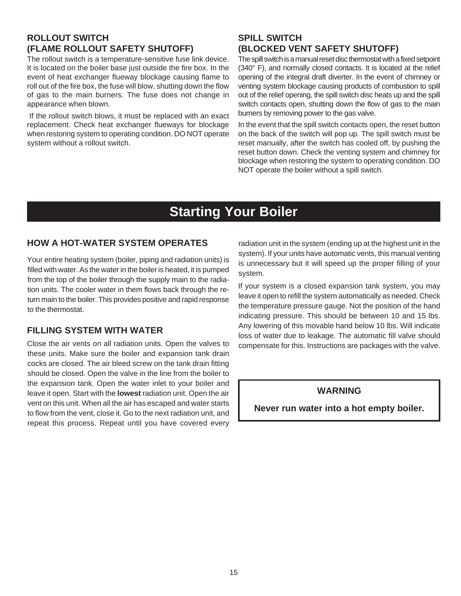### **ROLLOUT SWITCH (FLAME ROLLOUT SAFETY SHUTOFF)**

The rollout switch is a temperature-sensitive fuse link device. It is located on the boiler base just outside the fire box. In the event of heat exchanger flueway blockage causing flame to roll out of the fire box, the fuse will blow, shutting down the flow of gas to the main burners. The fuse does not change in appearance when blown.

 If the rollout switch blows, it must be replaced with an exact replacement. Check heat exchanger flueways for blockage when restoring system to operating condition. DO NOT operate system without a rollout switch.

### **SPILL SWITCH (BLOCKED VENT SAFETY SHUTOFF)**

The spill switch is a manual reset disc thermostat with a fixed setpoint (340° F), and normally closed contacts. It is located at the relief opening of the integral draft diverter. In the event of chimney or venting system blockage causing products of combustion to spill out of the relief opening, the spill switch disc heats up and the spill switch contacts open, shutting down the flow of gas to the main burners by removing power to the gas valve.

In the event that the spill switch contacts open, the reset button on the back of the switch will pop up. The spill switch must be reset manually, after the switch has cooled off, by pushing the reset button down. Check the venting system and chimney for blockage when restoring the system to operating condition. DO NOT operate the boiler without a spill switch.

# **Starting Your Boiler**

#### **HOW A HOT-WATER SYSTEM OPERATES**

Your entire heating system (boiler, piping and radiation units) is filled with water. As the water in the boiler is heated, it is pumped from the top of the boiler through the supply main to the radiation units. The cooler water in them flows back through the return main to the boiler. This provides positive and rapid response to the thermostat.

### **FILLING SYSTEM WITH WATER**

Close the air vents on all radiation units. Open the valves to these units. Make sure the boiler and expansion tank drain cocks are closed. The air bleed screw on the tank drain fitting should be closed. Open the valve in the line from the boiler to the expansion tank. Open the water inlet to your boiler and leave it open. Start with the **lowest** radiation unit. Open the air vent on this unit. When all the air has escaped and water starts to flow from the vent, close it. Go to the next radiation unit, and repeat this process. Repeat until you have covered every

radiation unit in the system (ending up at the highest unit in the system). If your units have automatic vents, this manual venting is unnecessary but it will speed up the proper filling of your system.

If your system is a closed expansion tank system, you may leave it open to refill the system automatically as needed. Check the temperature pressure gauge. Not the position of the hand indicating pressure. This should be between 10 and 15 lbs. Any lowering of this movable hand below 10 lbs. Will indicate loss of water due to leakage. The automatic fill valve should compensate for this. Instructions are packages with the valve.

#### **WARNING**

**Never run water into a hot empty boiler.**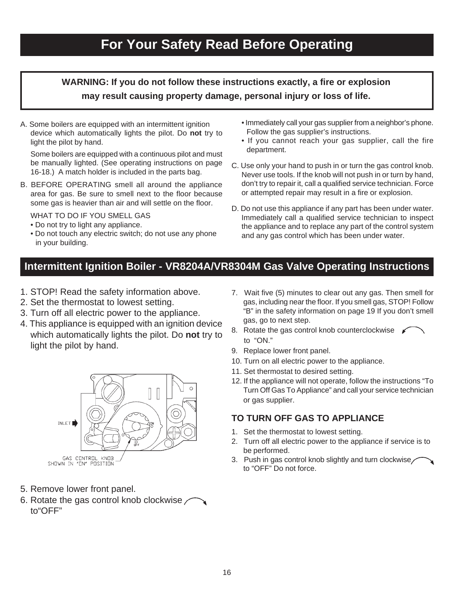# **For Your Safety Read Before Operating**

# **WARNING: If you do not follow these instructions exactly, a fire or explosion may result causing property damage, personal injury or loss of life.**

A. Some boilers are equipped with an intermittent ignition device which automatically lights the pilot. Do **not** try to light the pilot by hand.

Some boilers are equipped with a continuous pilot and must be manually lighted. (See operating instructions on page 16-18.) A match holder is included in the parts bag.

B. BEFORE OPERATING smell all around the appliance area for gas. Be sure to smell next to the floor because some gas is heavier than air and will settle on the floor.

WHAT TO DO IF YOU SMELL GAS

- Do not try to light any appliance.
- Do not touch any electric switch; do not use any phone in your building.
- Immediately call your gas supplier from a neighbor's phone. Follow the gas supplier's instructions.
- If you cannot reach your gas supplier, call the fire department.
- C. Use only your hand to push in or turn the gas control knob. Never use tools. If the knob will not push in or turn by hand, don't try to repair it, call a qualified service technician. Force or attempted repair may result in a fire or explosion.
- D. Do not use this appliance if any part has been under water. Immediately call a qualified service technician to inspect the appliance and to replace any part of the control system and any gas control which has been under water.

# **Intermittent Ignition Boiler - VR8204A/VR8304M Gas Valve Operating Instructions**

- 1. STOP! Read the safety information above.
- 2. Set the thermostat to lowest setting.
- 3. Turn off all electric power to the appliance.
- 4. This appliance is equipped with an ignition device which automatically lights the pilot. Do **not** try to light the pilot by hand.



- 5. Remove lower front panel.
- 6. Rotate the gas control knob clockwise  $\angle$ to"OFF"
- 7. Wait five (5) minutes to clear out any gas. Then smell for gas, including near the floor. If you smell gas, STOP! Follow "B" in the safety information on page 19 If you don't smell gas, go to next step.
- 8. Rotate the gas control knob counterclockwise to "ON."
- 9. Replace lower front panel.
- 10. Turn on all electric power to the appliance.
- 11. Set thermostat to desired setting.
- 12. If the appliance will not operate, follow the instructions "To Turn Off Gas To Appliance" and call your service technician or gas supplier.

### **TO TURN OFF GAS TO APPLIANCE**

- 1. Set the thermostat to lowest setting.
- 2. Turn off all electric power to the appliance if service is to be performed.
- 3. Push in gas control knob slightly and turn clockwise to "OFF" Do not force.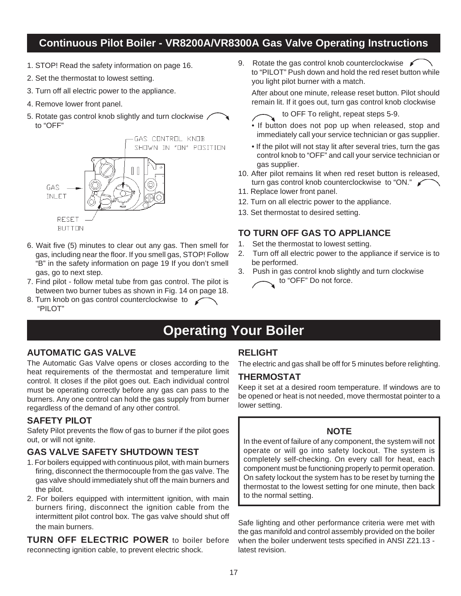# **Continuous Pilot Boiler - VR8200A/VR8300A Gas Valve Operating Instructions**

- 1. STOP! Read the safety information on page 16.
- 2. Set the thermostat to lowest setting.
- 3. Turn off all electric power to the appliance.
- 4. Remove lower front panel.
- 5. Rotate gas control knob slightly and turn clockwise / to "OFF"



- 6. Wait five (5) minutes to clear out any gas. Then smell for gas, including near the floor. If you smell gas, STOP! Follow "B" in the safety information on page 19 If you don't smell gas, go to next step.
- 7. Find pilot follow metal tube from gas control. The pilot is between two burner tubes as shown in Fig. 14 on page 18.
- 8. Turn knob on gas control counterclockwise to  $\swarrow$ "PILOT"

9. Rotate the gas control knob counterclockwise  $\mathscr{I}$  to "PILOT" Push down and hold the red reset button while you light pilot burner with a match.

After about one minute, release reset button. Pilot should remain lit. If it goes out, turn gas control knob clockwise

- to OFF To relight, repeat steps 5-9.
- If button does not pop up when released, stop and immediately call your service technician or gas supplier.
- If the pilot will not stay lit after several tries, turn the gas control knob to "OFF" and call your service technician or gas supplier.
- 10. After pilot remains lit when red reset button is released, turn gas control knob counterclockwise to "ON."
- 11. Replace lower front panel.
- 12. Turn on all electric power to the appliance.
- 13. Set thermostat to desired setting.

#### **TO TURN OFF GAS TO APPLIANCE**

- 1. Set the thermostat to lowest setting.
- 2. Turn off all electric power to the appliance if service is to be performed.
- 3. Push in gas control knob slightly and turn clockwise to "OFF" Do not force.

# **Operating Your Boiler**

#### **AUTOMATIC GAS VALVE**

The Automatic Gas Valve opens or closes according to the heat requirements of the thermostat and temperature limit control. It closes if the pilot goes out. Each individual control must be operating correctly before any gas can pass to the burners. Any one control can hold the gas supply from burner regardless of the demand of any other control.

#### **SAFETY PILOT**

Safety Pilot prevents the flow of gas to burner if the pilot goes out, or will not ignite.

### **GAS VALVE SAFETY SHUTDOWN TEST**

- 1. For boilers equipped with continuous pilot, with main burners firing, disconnect the thermocouple from the gas valve. The gas valve should immediately shut off the main burners and the pilot.
- 2. For boilers equipped with intermittent ignition, with main burners firing, disconnect the ignition cable from the intermittent pilot control box. The gas valve should shut off the main burners.

**TURN OFF ELECTRIC POWER** to boiler before reconnecting ignition cable, to prevent electric shock.

### **RELIGHT**

The electric and gas shall be off for 5 minutes before relighting.

#### **THERMOSTAT**

Keep it set at a desired room temperature. If windows are to be opened or heat is not needed, move thermostat pointer to a lower setting.

#### **NOTE**

In the event of failure of any component, the system will not operate or will go into safety lockout. The system is completely self-checking. On every call for heat, each component must be functioning properly to permit operation. On safety lockout the system has to be reset by turning the thermostat to the lowest setting for one minute, then back to the normal setting.

Safe lighting and other performance criteria were met with the gas manifold and control assembly provided on the boiler when the boiler underwent tests specified in ANSI Z21.13 latest revision.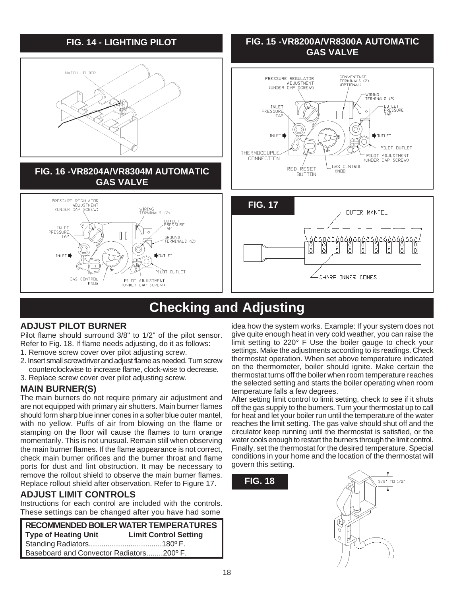

# **Checking and Adjusting**

# **ADJUST PILOT BURNER**

Pilot flame should surround 3/8" to 1/2" of the pilot sensor. Refer to Fig. 18. If flame needs adjusting, do it as follows:

- 1. Remove screw cover over pilot adjusting screw.
- 2. Insert small screwdriver and adjust flame as needed. Turn screw counterclockwise to increase flame, clock-wise to decrease.
- 3. Replace screw cover over pilot adjusting screw.

### **MAIN BURNER(S)**

The main burners do not require primary air adjustment and are not equipped with primary air shutters. Main burner flames should form sharp blue inner cones in a softer blue outer mantel, with no yellow. Puffs of air from blowing on the flame or stamping on the floor will cause the flames to turn orange momentarily. This is not unusual. Remain still when observing the main burner flames. If the flame appearance is not correct, check main burner orifices and the burner throat and flame ports for dust and lint obstruction. It may be necessary to remove the rollout shield to observe the main burner flames. Replace rollout shield after observation. Refer to Figure 17.

### **ADJUST LIMIT CONTROLS**

Instructions for each control are included with the controls. These settings can be changed after you have had some

**RECOMMENDED BOILER WATER TEMPERATURES Type of Heating Unit Limit Control Setting** Standing Radiators...................................180º F. Baseboard and Convector Radiators........200º F.

idea how the system works. Example: If your system does not give quite enough heat in very cold weather, you can raise the limit setting to 220° F Use the boiler gauge to check your settings. Make the adjustments according to its readings. Check thermostat operation. When set above temperature indicated on the thermometer, boiler should ignite. Make certain the thermostat turns off the boiler when room temperature reaches the selected setting and starts the boiler operating when room temperature falls a few degrees.

After setting limit control to limit setting, check to see if it shuts off the gas supply to the burners. Turn your thermostat up to call for heat and let your boiler run until the temperature of the water reaches the limit setting. The gas valve should shut off and the circulator keep running until the thermostat is satisfied, or the water cools enough to restart the burners through the limit control. Finally, set the thermostat for the desired temperature. Special conditions in your home and the location of the thermostat will govern this setting.

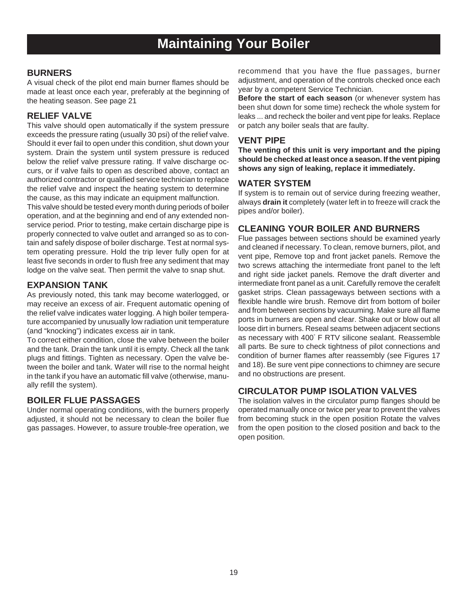# **Maintaining Your Boiler**

#### **BURNERS**

A visual check of the pilot end main burner flames should be made at least once each year, preferably at the beginning of the heating season. See page 21

#### **RELIEF VALVE**

This valve should open automatically if the system pressure exceeds the pressure rating (usually 30 psi) of the relief valve. Should it ever fail to open under this condition, shut down your system. Drain the system until system pressure is reduced below the relief valve pressure rating. If valve discharge occurs, or if valve fails to open as described above, contact an authorized contractor or qualified service technician to replace the relief valve and inspect the heating system to determine the cause, as this may indicate an equipment malfunction.

This valve should be tested every month during periods of boiler operation, and at the beginning and end of any extended nonservice period. Prior to testing, make certain discharge pipe is properly connected to valve outlet and arranged so as to contain and safely dispose of boiler discharge. Test at normal system operating pressure. Hold the trip lever fully open for at least five seconds in order to flush free any sediment that may lodge on the valve seat. Then permit the valve to snap shut.

#### **EXPANSION TANK**

As previously noted, this tank may become waterlogged, or may receive an excess of air. Frequent automatic opening of the relief valve indicates water logging. A high boiler temperature accompanied by unusually low radiation unit temperature (and "knocking") indicates excess air in tank.

To correct either condition, close the valve between the boiler and the tank. Drain the tank until it is empty. Check all the tank plugs and fittings. Tighten as necessary. Open the valve between the boiler and tank. Water will rise to the normal height in the tank if you have an automatic fill valve (otherwise, manually refill the system).

#### **BOILER FLUE PASSAGES**

Under normal operating conditions, with the burners properly adjusted, it should not be necessary to clean the boiler flue gas passages. However, to assure trouble-free operation, we recommend that you have the flue passages, burner adjustment, and operation of the controls checked once each year by a competent Service Technician.

**Before the start of each season** (or whenever system has been shut down for some time) recheck the whole system for leaks ... and recheck the boiler and vent pipe for leaks. Replace or patch any boiler seals that are faulty.

#### **VENT PIPE**

**The venting of this unit is very important and the piping should be checked at least once a season. If the vent piping shows any sign of leaking, replace it immediately.**

#### **WATER SYSTEM**

If system is to remain out of service during freezing weather, always **drain it** completely (water left in to freeze will crack the pipes and/or boiler).

#### **CLEANING YOUR BOILER AND BURNERS**

Flue passages between sections should be examined yearly and cleaned if necessary. To clean, remove burners, pilot, and vent pipe, Remove top and front jacket panels. Remove the two screws attaching the intermediate front panel to the left and right side jacket panels. Remove the draft diverter and intermediate front panel as a unit. Carefully remove the cerafelt gasket strips. Clean passageways between sections with a flexible handle wire brush. Remove dirt from bottom of boiler and from between sections by vacuuming. Make sure all flame ports in burners are open and clear. Shake out or blow out all loose dirt in burners. Reseal seams between adjacent sections as necessary with 400° F RTV silicone sealant. Reassemble all parts. Be sure to check tightness of pilot connections and condition of burner flames after reassembly (see Figures 17 and 18). Be sure vent pipe connections to chimney are secure and no obstructions are present.

#### **CIRCULATOR PUMP ISOLATION VALVES**

The isolation valves in the circulator pump flanges should be operated manually once or twice per year to prevent the valves from becoming stuck in the open position Rotate the valves from the open position to the closed position and back to the open position.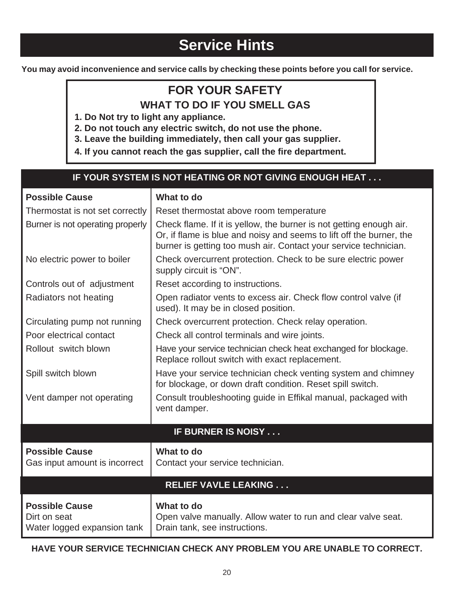# **Service Hints**

**You may avoid inconvenience and service calls by checking these points before you call for service.**

# **FOR YOUR SAFETY**

**WHAT TO DO IF YOU SMELL GAS**

**1. Do Not try to light any appliance.**

**2. Do not touch any electric switch, do not use the phone.**

**3. Leave the building immediately, then call your gas supplier.**

**4. If you cannot reach the gas supplier, call the fire department.**

### **IF YOUR SYSTEM IS NOT HEATING OR NOT GIVING ENOUGH HEAT . . .**

| <b>Possible Cause</b>                                                | What to do                                                                                                                                                                                                      |
|----------------------------------------------------------------------|-----------------------------------------------------------------------------------------------------------------------------------------------------------------------------------------------------------------|
| Thermostat is not set correctly                                      | Reset thermostat above room temperature                                                                                                                                                                         |
| Burner is not operating properly                                     | Check flame. If it is yellow, the burner is not getting enough air.<br>Or, if flame is blue and noisy and seems to lift off the burner, the<br>burner is getting too mush air. Contact your service technician. |
| No electric power to boiler                                          | Check overcurrent protection. Check to be sure electric power<br>supply circuit is "ON".                                                                                                                        |
| Controls out of adjustment                                           | Reset according to instructions.                                                                                                                                                                                |
| Radiators not heating                                                | Open radiator vents to excess air. Check flow control valve (if<br>used). It may be in closed position.                                                                                                         |
| Circulating pump not running                                         | Check overcurrent protection. Check relay operation.                                                                                                                                                            |
| Poor electrical contact                                              | Check all control terminals and wire joints.                                                                                                                                                                    |
| Rollout switch blown                                                 | Have your service technician check heat exchanged for blockage.<br>Replace rollout switch with exact replacement.                                                                                               |
| Spill switch blown                                                   | Have your service technician check venting system and chimney<br>for blockage, or down draft condition. Reset spill switch.                                                                                     |
| Vent damper not operating                                            | Consult troubleshooting guide in Effikal manual, packaged with<br>vent damper.                                                                                                                                  |
|                                                                      | <b>IF BURNER IS NOISY</b>                                                                                                                                                                                       |
| <b>Possible Cause</b>                                                | What to do                                                                                                                                                                                                      |
| Gas input amount is incorrect                                        | Contact your service technician.                                                                                                                                                                                |
|                                                                      | <b>RELIEF VAVLE LEAKING </b>                                                                                                                                                                                    |
| <b>Possible Cause</b><br>Dirt on seat<br>Water logged expansion tank | What to do<br>Open valve manually. Allow water to run and clear valve seat.<br>Drain tank, see instructions.                                                                                                    |

**HAVE YOUR SERVICE TECHNICIAN CHECK ANY PROBLEM YOU ARE UNABLE TO CORRECT.**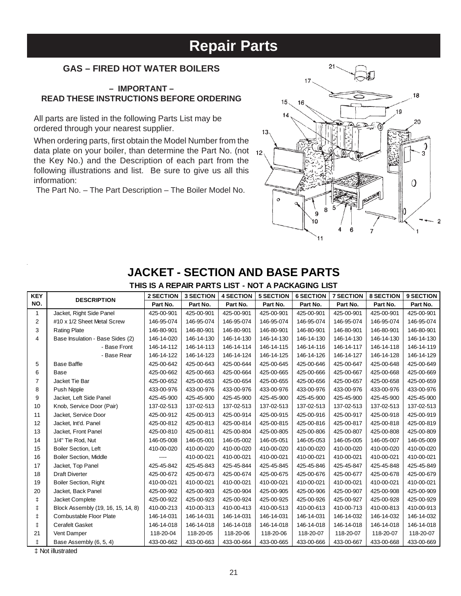# **Repair Parts**

### **GAS – FIRED HOT WATER BOILERS**

#### **– IMPORTANT – READ THESE INSTRUCTIONS BEFORE ORDERING**

All parts are listed in the following Parts List may be ordered through your nearest supplier.

When ordering parts, first obtain the Model Number from the data plate on your boiler, than determine the Part No. (not  $_{12}$ ) the Key No.) and the Description of each part from the following illustrations and list. Be sure to give us all this information:

The Part No. – The Part Description – The Boiler Model No.



# **JACKET - SECTION AND BASE PARTS**

**THIS IS A REPAIR PARTS LIST - NOT A PACKAGING LIST**

| <b>KEY</b>     | <b>DESCRIPTION</b>                 | <b>2 SECTION</b> | <b>3 SECTION</b> | <b>4 SECTION</b> | <b>5 SECTION</b> | <b>6 SECTION</b> | <b>7 SECTION</b> | <b>8 SECTION</b> | 9 SECTION  |
|----------------|------------------------------------|------------------|------------------|------------------|------------------|------------------|------------------|------------------|------------|
| NO.            |                                    | Part No.         | Part No.         | Part No.         | Part No.         | Part No.         | Part No.         | Part No.         | Part No.   |
| 1              | Jacket, Right Side Panel           | 425-00-901       | 425-00-901       | 425-00-901       | 425-00-901       | 425-00-901       | 425-00-901       | 425-00-901       | 425-00-901 |
| $\overline{c}$ | #10 x 1/2 Sheet Metal Screw        | 146-95-074       | 146-95-074       | 146-95-074       | 146-95-074       | 146-95-074       | 146-95-074       | 146-95-074       | 146-95-074 |
| 3              | <b>Rating Plate</b>                | 146-80-901       | 146-80-901       | 146-80-901       | 146-80-901       | 146-80-901       | 146-80-901       | 146-80-901       | 146-80-901 |
| 4              | Base Insulation - Base Sides (2)   | 146-14-020       | 146-14-130       | 146-14-130       | 146-14-130       | 146-14-130       | 146-14-130       | 146-14-130       | 146-14-130 |
|                | - Base Front                       | 146-14-112       | 146-14-113       | 146-14-114       | 146-14-115       | 146-14-116       | 146-14-117       | 146-14-118       | 146-14-119 |
|                | - Base Rear                        | 146-14-122       | 146-14-123       | 146-14-124       | 146-14-125       | 146-14-126       | 146-14-127       | 146-14-128       | 146-14-129 |
| 5              | <b>Base Baffle</b>                 | 425-00-642       | 425-00-643       | 425-00-644       | 425-00-645       | 425-00-646       | 425-00-647       | 425-00-648       | 425-00-649 |
| 6              | Base                               | 425-00-662       | 425-00-663       | 425-00-664       | 425-00-665       | 425-00-666       | 425-00-667       | 425-00-668       | 425-00-669 |
| $\overline{7}$ | Jacket Tie Bar                     | 425-00-652       | 425-00-653       | 425-00-654       | 425-00-655       | 425-00-656       | 425-00-657       | 425-00-658       | 425-00-659 |
| 8              | Push Nipple                        | 433-00-976       | 433-00-976       | 433-00-976       | 433-00-976       | 433-00-976       | 433-00-976       | 433-00-976       | 433-00-976 |
| 9              | Jacket, Left Side Panel            | 425-45-900       | 425-45-900       | 425-45-900       | 425-45-900       | 425-45-900       | 425-45-900       | 425-45-900       | 425-45-900 |
| 10             | Knob, Service Door (Pair)          | 137-02-513       | 137-02-513       | 137-02-513       | 137-02-513       | 137-02-513       | 137-02-513       | 137-02-513       | 137-02-513 |
| 11             | Jacket, Service Door               | 425-00-912       | 425-00-913       | 425-00-914       | 425-00-915       | 425-00-916       | 425-00-917       | 425-00-918       | 425-00-919 |
| 12             | Jacket, Int'd. Panel               | 425-00-812       | 425-00-813       | 425-00-814       | 425-00-815       | 425-00-816       | 425-00-817       | 425-00-818       | 425-00-819 |
| 13             | Jacket, Front Panel                | 425-00-810       | 425-00-811       | 425-00-804       | 425-00-805       | 425-00-806       | 425-00-807       | 425-00-808       | 425-00-809 |
| 14             | 1/4" Tie Rod, Nut                  | 146-05-008       | 146-05-001       | 146-05-002       | 146-05-051       | 146-05-053       | 146-05-005       | 146-05-007       | 146-05-009 |
| 15             | <b>Boiler Section, Left</b>        | 410-00-020       | 410-00-020       | 410-00-020       | 410-00-020       | 410-00-020       | 410-00-020       | 410-00-020       | 410-00-020 |
| 16             | <b>Boiler Section, Middle</b>      |                  | 410-00-021       | 410-00-021       | 410-00-021       | 410-00-021       | 410-00-021       | 410-00-021       | 410-00-021 |
| 17             | Jacket, Top Panel                  | 425-45-842       | 425-45-843       | 425-45-844       | 425-45-845       | 425-45-846       | 425-45-847       | 425-45-848       | 425-45-849 |
| 18             | <b>Draft Diverter</b>              | 425-00-672       | 425-00-673       | 425-00-674       | 425-00-675       | 425-00-676       | 425-00-677       | 425-00-678       | 425-00-679 |
| 19             | <b>Boiler Section, Right</b>       | 410-00-021       | 410-00-021       | 410-00-021       | 410-00-021       | 410-00-021       | 410-00-021       | 410-00-021       | 410-00-021 |
| 20             | Jacket, Back Panel                 | 425-00-902       | 425-00-903       | 425-00-904       | 425-00-905       | 425-00-906       | 425-00-907       | 425-00-908       | 425-00-909 |
| ŧ              | Jacket Complete                    | 425-00-922       | 425-00-923       | 425-00-924       | 425-00-925       | 425-00-926       | 425-00-927       | 425-00-928       | 425-00-929 |
| ŧ              | Block Assembly (19, 16, 15, 14, 8) | 410-00-213       | 410-00-313       | 410-00-413       | 410-00-513       | 410-00-613       | 410-00-713       | 410-00-813       | 410-00-913 |
| $\ddagger$     | Combustable Floor Plate            | 146-14-031       | 146-14-031       | 146-14-031       | 146-14-031       | 146-14-031       | 146-14-032       | 146-14-032       | 146-14-032 |
| ŧ              | <b>Cerafelt Gasket</b>             | 146-14-018       | 146-14-018       | 146-14-018       | 146-14-018       | 146-14-018       | 146-14-018       | 146-14-018       | 146-14-018 |
| 21             | Vent Damper                        | 118-20-04        | 118-20-05        | 118-20-06        | 118-20-06        | 118-20-07        | 118-20-07        | 118-20-07        | 118-20-07  |
| ŧ              | Base Assembly (6, 5, 4)            | 433-00-662       | 433-00-663       | 433-00-664       | 433-00-665       | 433-00-666       | 433-00-667       | 433-00-668       | 433-00-669 |

‡ Not illustrated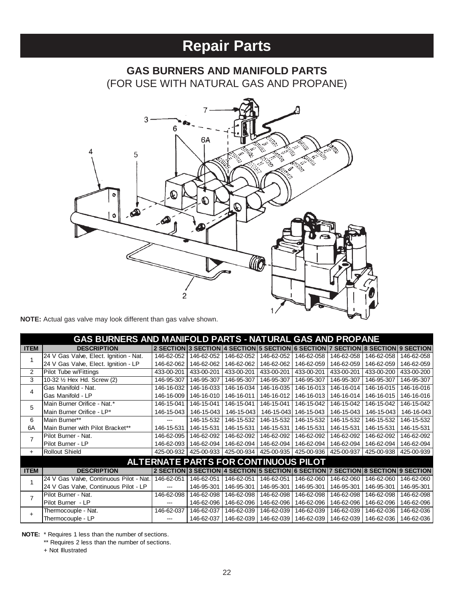# **Repair Parts**

# **GAS BURNERS AND MANIFOLD PARTS** (FOR USE WITH NATURAL GAS AND PROPANE)



**NOTE:** Actual gas valve may look different than gas valve shown.

|             | <b>GAS BURNERS AND MANIFOLD PARTS - NATURAL GAS AND PROPANE</b> |            |            |            |                                             |            |            |                                                                                 |            |
|-------------|-----------------------------------------------------------------|------------|------------|------------|---------------------------------------------|------------|------------|---------------------------------------------------------------------------------|------------|
| <b>ITEM</b> | <b>DESCRIPTION</b>                                              |            |            |            |                                             |            |            | 2 SECTION 3 SECTION 4 SECTION 5 SECTION 6 SECTION 7 SECTION 8 SECTION 9 SECTION |            |
| 1           | 24 V Gas Valve, Elect. Ignition - Nat.                          | 146-62-052 | 146-62-052 | 146-62-052 | 146-62-052                                  | 146-62-058 | 146-62-058 | 146-62-058                                                                      | 146-62-058 |
|             | 24 V Gas Valve, Elect. Ignition - LP                            | 146-62-062 | 146-62-062 | 146-62-062 | 146-62-062                                  | 146-62-059 | 146-62-059 | 146-62-059                                                                      | 146-62-059 |
| 2           | Pilot Tube w/Fittings                                           | 433-00-201 | 433-00-201 | 433-00-201 | 433-00-201                                  | 433-00-201 | 433-00-201 | 433-00-200                                                                      | 433-00-200 |
| 3           | 10-32 1/2 Hex Hd. Screw (2)                                     | 146-95-307 | 146-95-307 | 146-95-307 | 146-95-307                                  | 146-95-307 | 146-95-307 | 146-95-307                                                                      | 146-95-307 |
| 4           | Gas Manifold - Nat.                                             | 146-16-032 | 146-16-033 | 146-16-034 | 146-16-035                                  | 146-16-013 | 146-16-014 | 146-16-015                                                                      | 146-16-016 |
|             | Gas Manifold - LP                                               | 146-16-009 | 146-16-010 | 146-16-011 | 146-16-012                                  | 146-16-013 | 146-16-014 | 146-16-015                                                                      | 146-16-016 |
| 5           | Main Burner Orifice - Nat.*                                     | 146-15-041 | 146-15-041 | 146-15-041 | 146-15-041                                  | 146-15-042 | 146-15-042 | 146-15-042                                                                      | 146-15-042 |
|             | Main Burner Orifice - LP*                                       | 146-15-043 | 146-15-043 | 146-15-043 | 146-15-043                                  | 146-15-043 | 146-15-043 | 146-15-043                                                                      | 146-16-043 |
| 6           | Main Burner**                                                   | ---        | 146-15-532 | 146-15-532 | 146-15-532                                  | 146-15-532 | 146-15-532 | 146-15-532                                                                      | 146-15-532 |
| 6A          | Main Burner with Pilot Bracket**                                | 146-15-531 | 146-15-531 | 146-15-531 | 146-15-531                                  | 146-15-531 | 146-15-531 | 146-15-531                                                                      | 146-15-531 |
| 7           | Pilot Burner - Nat.                                             | 146-62-095 | 146-62-092 | 146-62-092 | 146-62-092                                  | 146-62-092 | 146-62-092 | 146-62-092                                                                      | 146-62-092 |
|             | Pilot Burner - LP                                               | 146-62-093 | 146-62-094 | 146-62-094 | 146-62-094                                  | 146-62-094 | 146-62-094 | 146-62-094                                                                      | 146-62-094 |
| $+$         | <b>Rollout Shield</b>                                           | 425-00-932 | 425-00-933 | 425-00-934 | 425-00-935                                  | 425-00-936 | 425-00-937 | 425-00-938                                                                      | 425-00-939 |
|             |                                                                 |            |            |            | <b>ALTERNATE PARTS FOR CONTINUOUS PILOT</b> |            |            |                                                                                 |            |
| <b>ITEM</b> | <b>DESCRIPTION</b>                                              |            |            |            |                                             |            |            | 2 SECTION 3 SECTION 4 SECTION 5 SECTION 6 SECTION 7 SECTION 8 SECTION 9 SECTION |            |
|             | 24 V Gas Valve, Continuous Pilot - Nat.                         | 146-62-051 | 146-62-051 | 146-62-051 | 146-62-051                                  | 146-62-060 | 146-62-060 | 146-62-060                                                                      | 146-62-060 |
|             | 24 V Gas Valve, Continuous Pilot - LP                           | ---        | 146-95-301 | 146-95-301 | 146-95-301                                  | 146-95-301 | 146-95-301 | 146-95-301                                                                      | 146-95-301 |
| 7           | Pilot Burner - Nat.                                             | 146-62-098 | 146-62-098 | 146-62-098 | 146-62-098                                  | 146-62-098 | 146-62-098 | 146-62-098                                                                      | 146-62-098 |
|             | Pilot Burner - LP                                               |            | 146-62-096 | 146-62-096 | 146-62-096                                  | 146-62-096 | 146-62-096 | 146-62-096                                                                      | 146-62-096 |
| $+$         | Thermocouple - Nat.                                             | 146-62-037 | 146-62-037 | 146-62-039 | 146-62-039                                  | 146-62-039 | 146-62-039 | 146-62-036                                                                      | 146-62-036 |
|             | Thermocouple - LP                                               |            | 146-62-037 | 146-62-039 | 146-62-039                                  | 146-62-039 | 146-62-039 | 146-62-036                                                                      | 146-62-036 |

**NOTE:** \* Requires 1 less than the number of sections.

\*\* Requires 2 less than the number of sections.

+ Not Illustrated